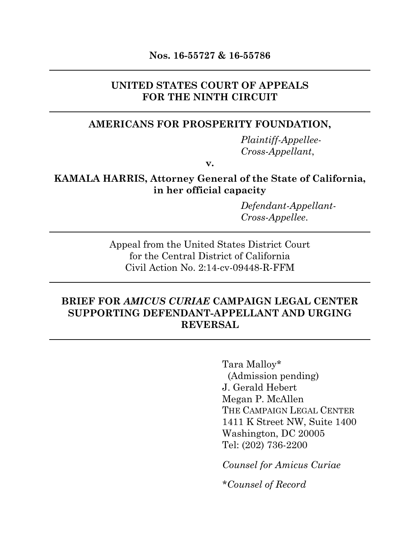### **UNITED STATES COURT OF APPEALS FOR THE NINTH CIRCUIT**

# **AMERICANS FOR PROSPERITY FOUNDATION,**

*Plaintiff-Appellee-Cross-Appellant*,

**v.**

# **KAMALA HARRIS, Attorney General of the State of California, in her official capacity**

*Defendant-Appellant-Cross-Appellee*.

Appeal from the United States District Court for the Central District of California Civil Action No. 2:14-cv-09448-R-FFM

# **BRIEF FOR** *AMICUS CURIAE* **CAMPAIGN LEGAL CENTER SUPPORTING DEFENDANT-APPELLANT AND URGING REVERSAL**

Tara Malloy\* (Admission pending) J. Gerald Hebert Megan P. McAllen THE CAMPAIGN LEGAL CENTER 1411 K Street NW, Suite 1400 Washington, DC 20005 Tel: (202) 736-2200

*Counsel for Amicus Curiae*

*\*Counsel of Record*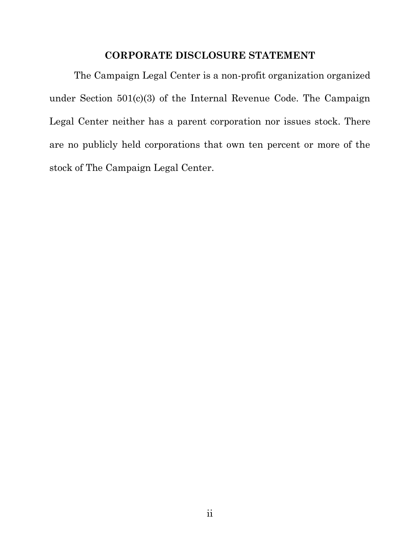# **CORPORATE DISCLOSURE STATEMENT**

The Campaign Legal Center is a non-profit organization organized under Section 501(c)(3) of the Internal Revenue Code. The Campaign Legal Center neither has a parent corporation nor issues stock. There are no publicly held corporations that own ten percent or more of the stock of The Campaign Legal Center.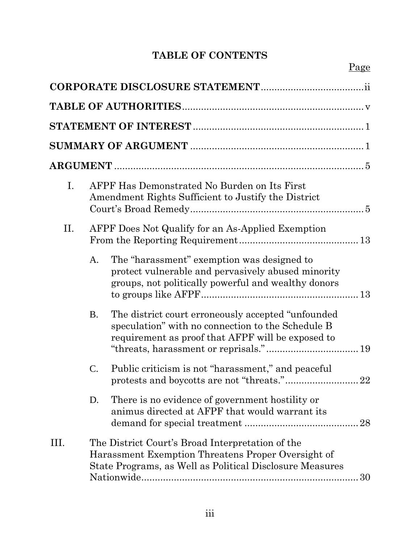# **TABLE OF CONTENTS**

| Ι.   | AFPF Has Demonstrated No Burden on Its First<br>Amendment Rights Sufficient to Justify the District |                                                                                                                                                                          |
|------|-----------------------------------------------------------------------------------------------------|--------------------------------------------------------------------------------------------------------------------------------------------------------------------------|
| П.   |                                                                                                     | AFPF Does Not Qualify for an As-Applied Exemption                                                                                                                        |
|      | A.                                                                                                  | The "harassment" exemption was designed to<br>protect vulnerable and pervasively abused minority<br>groups, not politically powerful and wealthy donors                  |
|      | <b>B.</b>                                                                                           | The district court erroneously accepted "unfounded"<br>speculation" with no connection to the Schedule B<br>requirement as proof that AFPF will be exposed to            |
|      | $\mathbf{C}$ .                                                                                      | Public criticism is not "harassment," and peaceful                                                                                                                       |
|      | D.                                                                                                  | There is no evidence of government hostility or<br>animus directed at AFPF that would warrant its<br>28                                                                  |
| III. |                                                                                                     | The District Court's Broad Interpretation of the<br>Harassment Exemption Threatens Proper Oversight of<br>State Programs, as Well as Political Disclosure Measures<br>30 |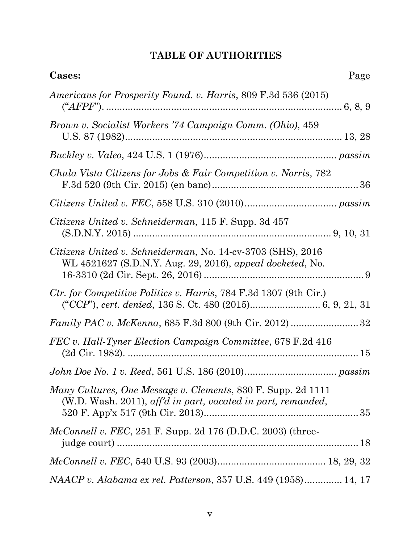# **TABLE OF AUTHORITIES**

| Cases:                                                                                                                       | Page |
|------------------------------------------------------------------------------------------------------------------------------|------|
| Americans for Prosperity Found. v. Harris, 809 F.3d 536 (2015)                                                               |      |
| Brown v. Socialist Workers '74 Campaign Comm. (Ohio), 459                                                                    |      |
|                                                                                                                              |      |
| Chula Vista Citizens for Jobs & Fair Competition v. Norris, 782                                                              |      |
|                                                                                                                              |      |
| Citizens United v. Schneiderman, 115 F. Supp. 3d 457                                                                         |      |
| Citizens United v. Schneiderman, No. 14-cv-3703 (SHS), 2016<br>WL 4521627 (S.D.N.Y. Aug. 29, 2016), appeal docketed, No.     |      |
| Ctr. for Competitive Politics v. Harris, 784 F.3d 1307 (9th Cir.)                                                            |      |
|                                                                                                                              |      |
| FEC v. Hall-Tyner Election Campaign Committee, 678 F.2d 416                                                                  |      |
| $John\; Doe\; No.\;1\;v.\; Reed,\,561\; U.S.\;186\; (2010)passim$                                                            |      |
| Many Cultures, One Message v. Clements, 830 F. Supp. 2d 1111<br>(W.D. Wash. 2011), aff'd in part, vacated in part, remanded, |      |
| <i>McConnell v. FEC</i> , 251 F. Supp. 2d 176 (D.D.C. 2003) (three-                                                          |      |
|                                                                                                                              |      |
| NAACP v. Alabama ex rel. Patterson, 357 U.S. 449 (1958) 14, 17                                                               |      |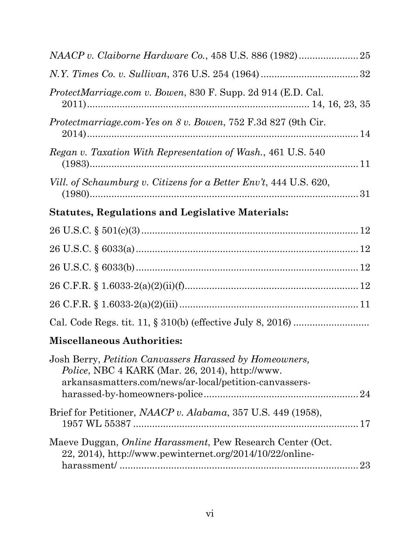| ProtectMarriage.com v. Bowen, 830 F. Supp. 2d 914 (E.D. Cal.                                                                                                                 |  |
|------------------------------------------------------------------------------------------------------------------------------------------------------------------------------|--|
| <i>Protectmarriage.com-Yes on 8 v. Bowen, 752 F.3d 827 (9th Cir.</i>                                                                                                         |  |
| Regan v. Taxation With Representation of Wash., 461 U.S. 540                                                                                                                 |  |
| Vill. of Schaumburg v. Citizens for a Better Env't, 444 U.S. 620,                                                                                                            |  |
| <b>Statutes, Regulations and Legislative Materials:</b>                                                                                                                      |  |
|                                                                                                                                                                              |  |
|                                                                                                                                                                              |  |
|                                                                                                                                                                              |  |
|                                                                                                                                                                              |  |
|                                                                                                                                                                              |  |
|                                                                                                                                                                              |  |
| <b>Miscellaneous Authorities:</b>                                                                                                                                            |  |
| Josh Berry, Petition Canvassers Harassed by Homeowners,<br><i>Police</i> , NBC 4 KARK (Mar. 26, 2014), http://www.<br>arkansasmatters.com/news/ar-local/petition-canvassers- |  |
| Brief for Petitioner, NAACP v. Alabama, 357 U.S. 449 (1958),                                                                                                                 |  |
| Maeve Duggan, <i>Online Harassment</i> , Pew Research Center (Oct.<br>$22, 2014$ ), http://www.pewinternet.org/2014/10/22/online-                                            |  |
|                                                                                                                                                                              |  |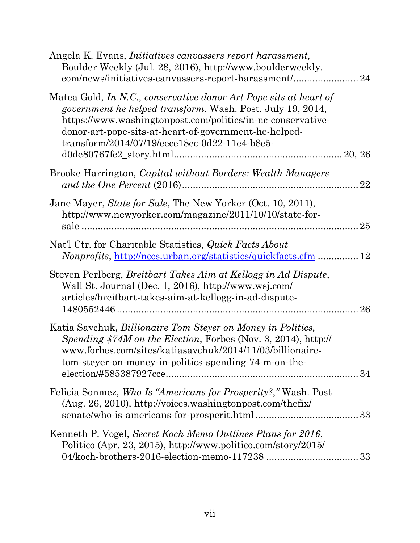| Angela K. Evans, <i>Initiatives canvassers report harassment</i> ,<br>Boulder Weekly (Jul. 28, 2016), http://www.boulderweekly.<br>com/news/initiatives-canvassers-report-harassment/24                                                                                                                         |    |
|-----------------------------------------------------------------------------------------------------------------------------------------------------------------------------------------------------------------------------------------------------------------------------------------------------------------|----|
| Matea Gold, In N.C., conservative donor Art Pope sits at heart of<br><i>government he helped transform,</i> Wash. Post, July 19, 2014,<br>https://www.washingtonpost.com/politics/in-nc-conservative-<br>donor-art-pope-sits-at-heart-of-government-he-helped-<br>transform/2014/07/19/eece18ec-0d22-11e4-b8e5- |    |
| Brooke Harrington, <i>Capital without Borders: Wealth Managers</i>                                                                                                                                                                                                                                              | 22 |
| Jane Mayer, State for Sale, The New Yorker (Oct. 10, 2011),<br>http://www.newyorker.com/magazine/2011/10/10/state-for-                                                                                                                                                                                          |    |
| Nat'l Ctr. for Charitable Statistics, <i>Quick Facts About</i><br><i>Nonprofits</i> , http://nccs.urban.org/statistics/quickfacts.cfm  12                                                                                                                                                                       |    |
| Steven Perlberg, Breitbart Takes Aim at Kellogg in Ad Dispute,<br>Wall St. Journal (Dec. 1, 2016), http://www.wsj.com/<br>articles/breitbart-takes-aim-at-kellogg-in-ad-dispute-                                                                                                                                | 26 |
| Katia Savchuk, <i>Billionaire Tom Steyer on Money in Politics</i> ,<br><i>Spending \$74M on the Election, Forbes (Nov. 3, 2014), http://</i><br>www.forbes.com/sites/katiasavchuk/2014/11/03/billionaire-<br>tom-steyer-on-money-in-politics-spending-74-m-on-the-                                              |    |
| Felicia Sonmez, Who Is "Americans for Prosperity?," Wash. Post<br>(Aug. 26, 2010), http://voices.washingtonpost.com/thefix/                                                                                                                                                                                     |    |
| Kenneth P. Vogel, Secret Koch Memo Outlines Plans for 2016,<br>Politico (Apr. 23, 2015), http://www.politico.com/story/2015/                                                                                                                                                                                    |    |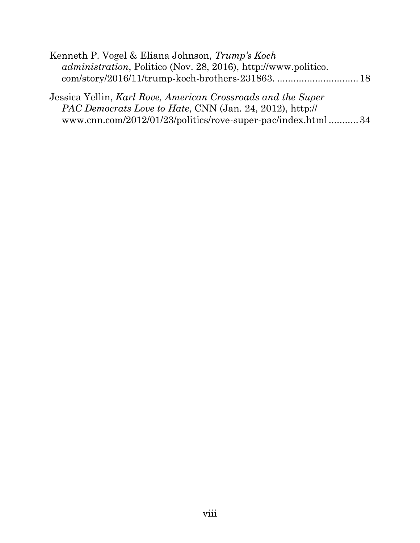| Kenneth P. Vogel & Eliana Johnson, Trump's Koch                        |  |
|------------------------------------------------------------------------|--|
| <i>administration</i> , Politico (Nov. 28, 2016), http://www.politico. |  |
|                                                                        |  |

Jessica Yellin, *Karl Rove, American Crossroads and the Super PAC Democrats Love to Hate*, CNN (Jan. 24, 2012), http:// www.cnn.com/2012/01/23/politics/rove-super-pac/index.html...........34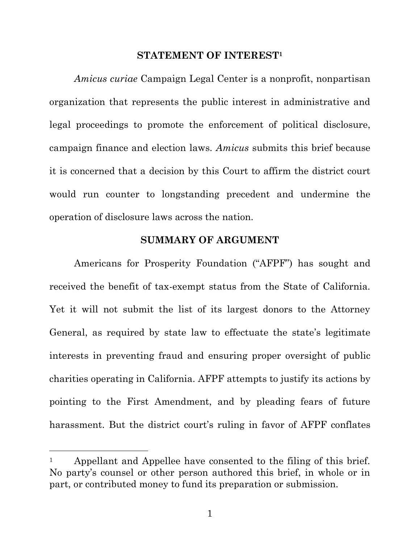#### **STATEMENT OF INTEREST<sup>1</sup>**

*Amicus curiae* Campaign Legal Center is a nonprofit, nonpartisan organization that represents the public interest in administrative and legal proceedings to promote the enforcement of political disclosure, campaign finance and election laws. *Amicus* submits this brief because it is concerned that a decision by this Court to affirm the district court would run counter to longstanding precedent and undermine the operation of disclosure laws across the nation.

#### **SUMMARY OF ARGUMENT**

Americans for Prosperity Foundation ("AFPF") has sought and received the benefit of tax-exempt status from the State of California. Yet it will not submit the list of its largest donors to the Attorney General, as required by state law to effectuate the state's legitimate interests in preventing fraud and ensuring proper oversight of public charities operating in California. AFPF attempts to justify its actions by pointing to the First Amendment, and by pleading fears of future harassment. But the district court's ruling in favor of AFPF conflates

<sup>&</sup>lt;sup>1</sup> Appellant and Appellee have consented to the filing of this brief. No party's counsel or other person authored this brief, in whole or in part, or contributed money to fund its preparation or submission.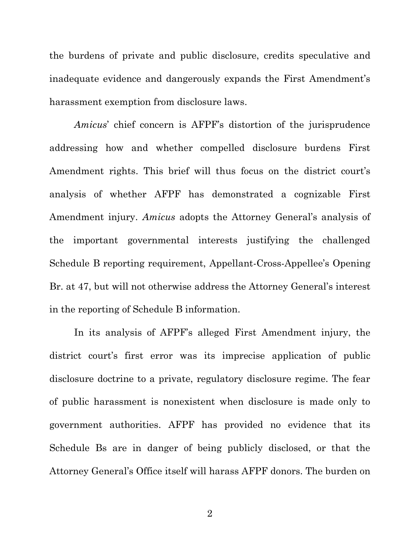the burdens of private and public disclosure, credits speculative and inadequate evidence and dangerously expands the First Amendment's harassment exemption from disclosure laws.

*Amicus*' chief concern is AFPF's distortion of the jurisprudence addressing how and whether compelled disclosure burdens First Amendment rights. This brief will thus focus on the district court's analysis of whether AFPF has demonstrated a cognizable First Amendment injury. *Amicus* adopts the Attorney General's analysis of the important governmental interests justifying the challenged Schedule B reporting requirement, Appellant-Cross-Appellee's Opening Br. at 47, but will not otherwise address the Attorney General's interest in the reporting of Schedule B information.

In its analysis of AFPF's alleged First Amendment injury, the district court's first error was its imprecise application of public disclosure doctrine to a private, regulatory disclosure regime. The fear of public harassment is nonexistent when disclosure is made only to government authorities. AFPF has provided no evidence that its Schedule Bs are in danger of being publicly disclosed, or that the Attorney General's Office itself will harass AFPF donors. The burden on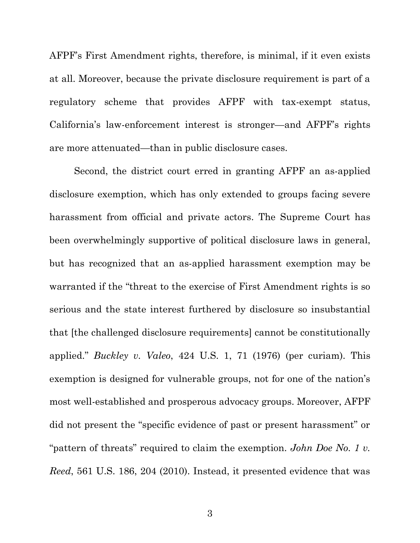AFPF's First Amendment rights, therefore, is minimal, if it even exists at all. Moreover, because the private disclosure requirement is part of a regulatory scheme that provides AFPF with tax-exempt status, California's law-enforcement interest is stronger—and AFPF's rights are more attenuated—than in public disclosure cases.

Second, the district court erred in granting AFPF an as-applied disclosure exemption, which has only extended to groups facing severe harassment from official and private actors. The Supreme Court has been overwhelmingly supportive of political disclosure laws in general, but has recognized that an as-applied harassment exemption may be warranted if the "threat to the exercise of First Amendment rights is so serious and the state interest furthered by disclosure so insubstantial that [the challenged disclosure requirements] cannot be constitutionally applied." *Buckley v. Valeo*, 424 U.S. 1, 71 (1976) (per curiam). This exemption is designed for vulnerable groups, not for one of the nation's most well-established and prosperous advocacy groups. Moreover, AFPF did not present the "specific evidence of past or present harassment" or "pattern of threats" required to claim the exemption. *John Doe No. 1 v. Reed*, 561 U.S. 186, 204 (2010). Instead, it presented evidence that was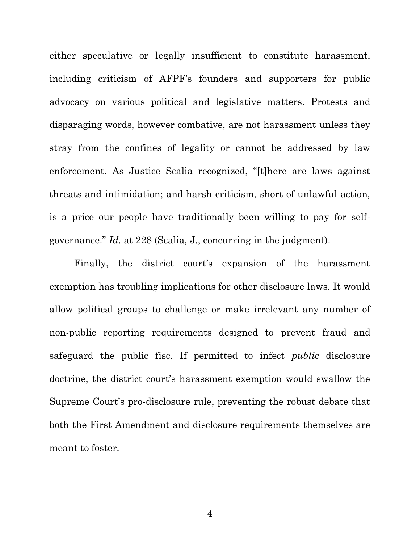either speculative or legally insufficient to constitute harassment, including criticism of AFPF's founders and supporters for public advocacy on various political and legislative matters. Protests and disparaging words, however combative, are not harassment unless they stray from the confines of legality or cannot be addressed by law enforcement. As Justice Scalia recognized, "[t]here are laws against threats and intimidation; and harsh criticism, short of unlawful action, is a price our people have traditionally been willing to pay for selfgovernance." *Id.* at 228 (Scalia, J., concurring in the judgment).

Finally, the district court's expansion of the harassment exemption has troubling implications for other disclosure laws. It would allow political groups to challenge or make irrelevant any number of non-public reporting requirements designed to prevent fraud and safeguard the public fisc. If permitted to infect *public* disclosure doctrine, the district court's harassment exemption would swallow the Supreme Court's pro-disclosure rule, preventing the robust debate that both the First Amendment and disclosure requirements themselves are meant to foster.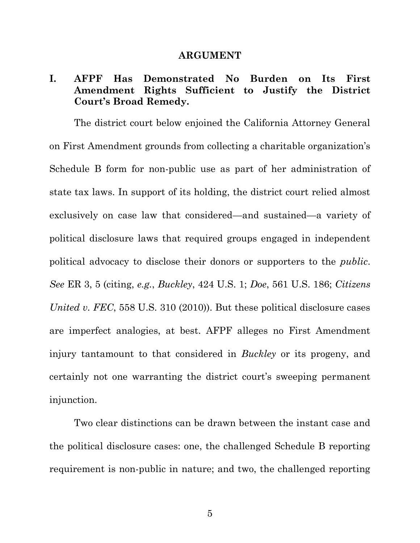#### **ARGUMENT**

# **I. AFPF Has Demonstrated No Burden on Its First Amendment Rights Sufficient to Justify the District Court's Broad Remedy.**

The district court below enjoined the California Attorney General on First Amendment grounds from collecting a charitable organization's Schedule B form for non-public use as part of her administration of state tax laws. In support of its holding, the district court relied almost exclusively on case law that considered—and sustained—a variety of political disclosure laws that required groups engaged in independent political advocacy to disclose their donors or supporters to the *public*. *See* ER 3, 5 (citing, *e.g.*, *Buckley*, 424 U.S. 1; *Doe*, 561 U.S. 186; *Citizens United v. FEC*, 558 U.S. 310 (2010)). But these political disclosure cases are imperfect analogies, at best. AFPF alleges no First Amendment injury tantamount to that considered in *Buckley* or its progeny, and certainly not one warranting the district court's sweeping permanent injunction.

Two clear distinctions can be drawn between the instant case and the political disclosure cases: one, the challenged Schedule B reporting requirement is non-public in nature; and two, the challenged reporting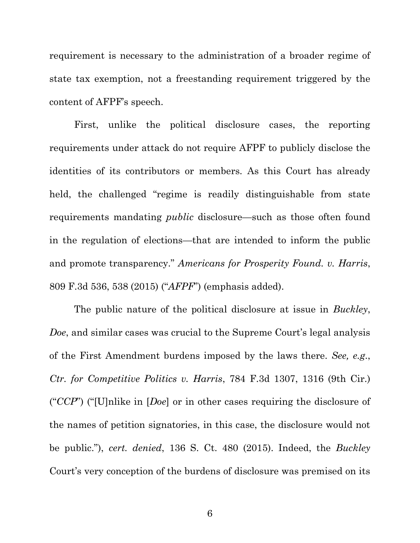requirement is necessary to the administration of a broader regime of state tax exemption, not a freestanding requirement triggered by the content of AFPF's speech.

First, unlike the political disclosure cases, the reporting requirements under attack do not require AFPF to publicly disclose the identities of its contributors or members. As this Court has already held, the challenged "regime is readily distinguishable from state requirements mandating *public* disclosure—such as those often found in the regulation of elections—that are intended to inform the public and promote transparency." *Americans for Prosperity Found. v. Harris*, 809 F.3d 536, 538 (2015) ("*AFPF*") (emphasis added).

The public nature of the political disclosure at issue in *Buckley*, *Doe*, and similar cases was crucial to the Supreme Court's legal analysis of the First Amendment burdens imposed by the laws there. *See, e.g*., *Ctr. for Competitive Politics v. Harris*, 784 F.3d 1307, 1316 (9th Cir.) ("*CCP*") ("[U]nlike in [*Doe*] or in other cases requiring the disclosure of the names of petition signatories, in this case, the disclosure would not be public."), *cert. denied*, 136 S. Ct. 480 (2015). Indeed, the *Buckley* Court's very conception of the burdens of disclosure was premised on its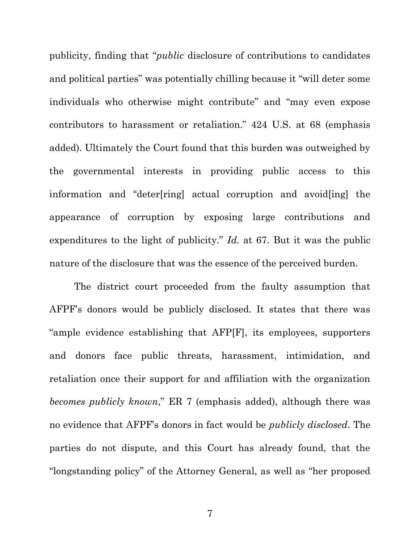publicity, finding that "*public* disclosure of contributions to candidates and political parties" was potentially chilling because it "will deter some individuals who otherwise might contribute" and "may even expose contributors to harassment or retaliation." 424 U.S. at 68 (emphasis added). Ultimately the Court found that this burden was outweighed by the governmental interests in providing public access to this information and "deter[ring] actual corruption and avoid[ing] the appearance of corruption by exposing large contributions and expenditures to the light of publicity." *Id.* at 67. But it was the public nature of the disclosure that was the essence of the perceived burden.

The district court proceeded from the faulty assumption that AFPF's donors would be publicly disclosed. It states that there was "ample evidence establishing that AFP[F], its employees, supporters and donors face public threats, harassment, intimidation, and retaliation once their support for and affiliation with the organization *becomes publicly known*," ER 7 (emphasis added), although there was no evidence that AFPF's donors in fact would be *publicly disclosed*. The parties do not dispute, and this Court has already found, that the "longstanding policy" of the Attorney General, as well as "her proposed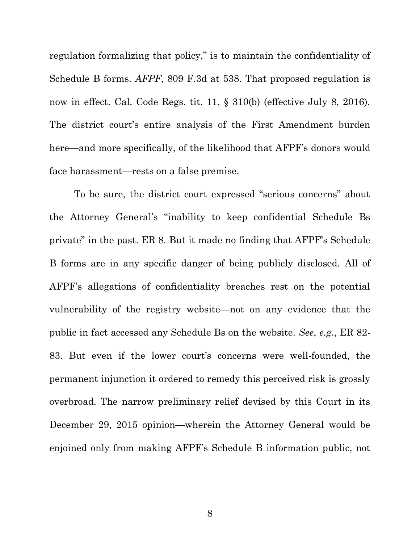regulation formalizing that policy," is to maintain the confidentiality of Schedule B forms. *AFPF*, 809 F.3d at 538. That proposed regulation is now in effect. Cal. Code Regs. tit. 11, § 310(b) (effective July 8, 2016). The district court's entire analysis of the First Amendment burden here—and more specifically, of the likelihood that AFPF's donors would face harassment—rests on a false premise.

To be sure, the district court expressed "serious concerns" about the Attorney General's "inability to keep confidential Schedule Bs private" in the past. ER 8. But it made no finding that AFPF's Schedule B forms are in any specific danger of being publicly disclosed. All of AFPF's allegations of confidentiality breaches rest on the potential vulnerability of the registry website—not on any evidence that the public in fact accessed any Schedule Bs on the website. *See*, *e.g*., ER 82- 83. But even if the lower court's concerns were well-founded, the permanent injunction it ordered to remedy this perceived risk is grossly overbroad. The narrow preliminary relief devised by this Court in its December 29, 2015 opinion—wherein the Attorney General would be enjoined only from making AFPF's Schedule B information public, not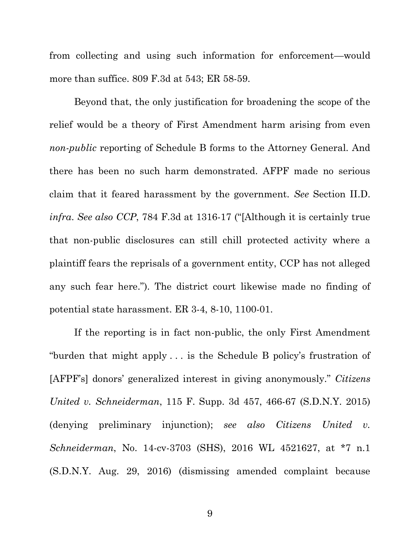from collecting and using such information for enforcement—would more than suffice. 809 F.3d at 543; ER 58-59.

Beyond that, the only justification for broadening the scope of the relief would be a theory of First Amendment harm arising from even *non-public* reporting of Schedule B forms to the Attorney General. And there has been no such harm demonstrated. AFPF made no serious claim that it feared harassment by the government. *See* Section II.D. *infra*. *See also CCP*, 784 F.3d at 1316-17 ("[Although it is certainly true that non-public disclosures can still chill protected activity where a plaintiff fears the reprisals of a government entity, CCP has not alleged any such fear here."). The district court likewise made no finding of potential state harassment. ER 3-4, 8-10, 1100-01.

If the reporting is in fact non-public, the only First Amendment "burden that might apply . . . is the Schedule B policy's frustration of [AFPF's] donors' generalized interest in giving anonymously." *Citizens United v. Schneiderman*, 115 F. Supp. 3d 457, 466-67 (S.D.N.Y. 2015) (denying preliminary injunction); *see also Citizens United v. Schneiderman*, No. 14-cv-3703 (SHS), 2016 WL 4521627, at \*7 n.1 (S.D.N.Y. Aug. 29, 2016) (dismissing amended complaint because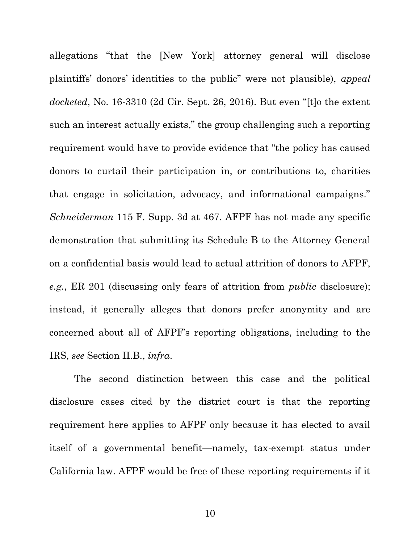allegations "that the [New York] attorney general will disclose plaintiffs' donors' identities to the public" were not plausible), *appeal docketed*, No. 16-3310 (2d Cir. Sept. 26, 2016). But even "[t]o the extent such an interest actually exists," the group challenging such a reporting requirement would have to provide evidence that "the policy has caused donors to curtail their participation in, or contributions to, charities that engage in solicitation, advocacy, and informational campaigns." *Schneiderman* 115 F. Supp. 3d at 467*.* AFPF has not made any specific demonstration that submitting its Schedule B to the Attorney General on a confidential basis would lead to actual attrition of donors to AFPF, *e.g.*, ER 201 (discussing only fears of attrition from *public* disclosure); instead, it generally alleges that donors prefer anonymity and are concerned about all of AFPF's reporting obligations, including to the IRS, *see* Section II.B., *infra*.

The second distinction between this case and the political disclosure cases cited by the district court is that the reporting requirement here applies to AFPF only because it has elected to avail itself of a governmental benefit—namely, tax-exempt status under California law. AFPF would be free of these reporting requirements if it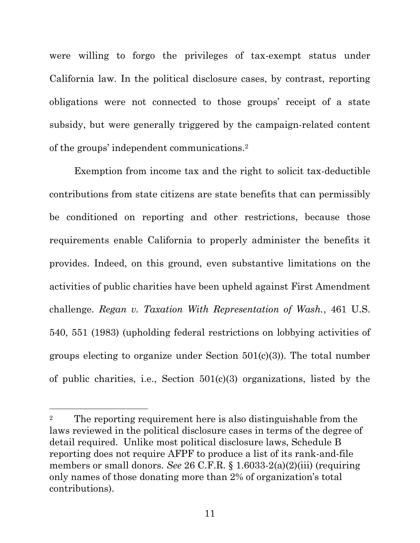were willing to forgo the privileges of tax-exempt status under California law. In the political disclosure cases, by contrast, reporting obligations were not connected to those groups' receipt of a state subsidy, but were generally triggered by the campaign-related content of the groups' independent communications.<sup>2</sup>

Exemption from income tax and the right to solicit tax-deductible contributions from state citizens are state benefits that can permissibly be conditioned on reporting and other restrictions, because those requirements enable California to properly administer the benefits it provides. Indeed, on this ground, even substantive limitations on the activities of public charities have been upheld against First Amendment challenge. *Regan v. Taxation With Representation of Wash.*, 461 U.S. 540, 551 (1983) (upholding federal restrictions on lobbying activities of groups electing to organize under Section 501(c)(3)). The total number of public charities, i.e., Section 501(c)(3) organizations, listed by the

<sup>&</sup>lt;sup>2</sup> The reporting requirement here is also distinguishable from the laws reviewed in the political disclosure cases in terms of the degree of detail required. Unlike most political disclosure laws, Schedule B reporting does not require AFPF to produce a list of its rank-and-file members or small donors. *See* 26 C.F.R. § 1.6033-2(a)(2)(iii) (requiring only names of those donating more than 2% of organization's total contributions).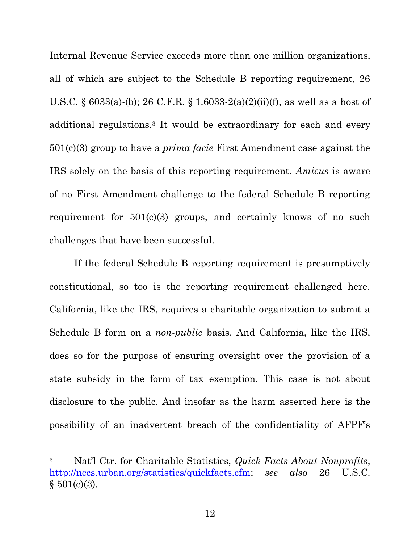Internal Revenue Service exceeds more than one million organizations, all of which are subject to the Schedule B reporting requirement, 26 U.S.C. § 6033(a)-(b); 26 C.F.R. § 1.6033-2(a)(2)(ii)(f), as well as a host of additional regulations.<sup>3</sup> It would be extraordinary for each and every 501(c)(3) group to have a *prima facie* First Amendment case against the IRS solely on the basis of this reporting requirement. *Amicus* is aware of no First Amendment challenge to the federal Schedule B reporting requirement for 501(c)(3) groups, and certainly knows of no such challenges that have been successful.

If the federal Schedule B reporting requirement is presumptively constitutional, so too is the reporting requirement challenged here. California, like the IRS, requires a charitable organization to submit a Schedule B form on a *non-public* basis. And California, like the IRS, does so for the purpose of ensuring oversight over the provision of a state subsidy in the form of tax exemption. This case is not about disclosure to the public. And insofar as the harm asserted here is the possibility of an inadvertent breach of the confidentiality of AFPF's

<sup>3</sup> Nat'l Ctr. for Charitable Statistics, *Quick Facts About Nonprofits*, [http://nccs.urban.org/statistics/quickfacts.cfm;](http://nccs.urban.org/statistics/quickfacts.cfm) *see also* 26 U.S.C.  $§ 501(c)(3).$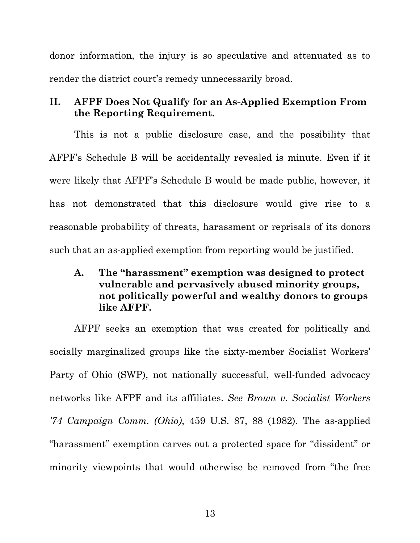donor information, the injury is so speculative and attenuated as to render the district court's remedy unnecessarily broad.

# **II. AFPF Does Not Qualify for an As-Applied Exemption From the Reporting Requirement.**

This is not a public disclosure case, and the possibility that AFPF's Schedule B will be accidentally revealed is minute. Even if it were likely that AFPF's Schedule B would be made public, however, it has not demonstrated that this disclosure would give rise to a reasonable probability of threats, harassment or reprisals of its donors such that an as-applied exemption from reporting would be justified.

**A. The "harassment" exemption was designed to protect vulnerable and pervasively abused minority groups, not politically powerful and wealthy donors to groups like AFPF.**

AFPF seeks an exemption that was created for politically and socially marginalized groups like the sixty-member Socialist Workers' Party of Ohio (SWP), not nationally successful, well-funded advocacy networks like AFPF and its affiliates. *See Brown v. Socialist Workers '74 Campaign Comm. (Ohio)*, 459 U.S. 87, 88 (1982). The as-applied "harassment" exemption carves out a protected space for "dissident" or minority viewpoints that would otherwise be removed from "the free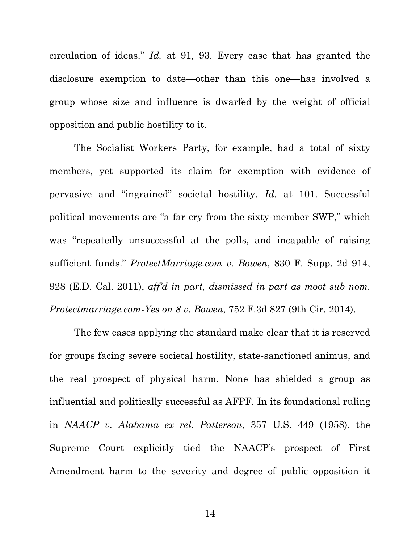circulation of ideas." *Id.* at 91, 93. Every case that has granted the disclosure exemption to date—other than this one—has involved a group whose size and influence is dwarfed by the weight of official opposition and public hostility to it.

The Socialist Workers Party, for example, had a total of sixty members, yet supported its claim for exemption with evidence of pervasive and "ingrained" societal hostility. *Id.* at 101. Successful political movements are "a far cry from the sixty-member SWP," which was "repeatedly unsuccessful at the polls, and incapable of raising sufficient funds." *ProtectMarriage.com v. Bowen*, 830 F. Supp. 2d 914, 928 (E.D. Cal. 2011), *aff'd in part, dismissed in part as moot sub nom. Protectmarriage.com-Yes on 8 v. Bowen*, 752 F.3d 827 (9th Cir. 2014).

The few cases applying the standard make clear that it is reserved for groups facing severe societal hostility, state-sanctioned animus, and the real prospect of physical harm. None has shielded a group as influential and politically successful as AFPF. In its foundational ruling in *NAACP v. Alabama ex rel. Patterson*, 357 U.S. 449 (1958), the Supreme Court explicitly tied the NAACP's prospect of First Amendment harm to the severity and degree of public opposition it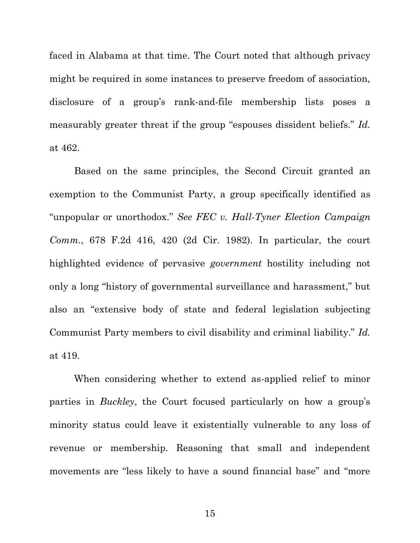faced in Alabama at that time. The Court noted that although privacy might be required in some instances to preserve freedom of association, disclosure of a group's rank-and-file membership lists poses a measurably greater threat if the group "espouses dissident beliefs." *Id.*  at 462.

Based on the same principles, the Second Circuit granted an exemption to the Communist Party, a group specifically identified as "unpopular or unorthodox." *See FEC v. Hall-Tyner Election Campaign Comm.*, 678 F.2d 416, 420 (2d Cir. 1982). In particular, the court highlighted evidence of pervasive *government* hostility including not only a long "history of governmental surveillance and harassment," but also an "extensive body of state and federal legislation subjecting Communist Party members to civil disability and criminal liability." *Id.* at 419.

When considering whether to extend as-applied relief to minor parties in *Buckley*, the Court focused particularly on how a group's minority status could leave it existentially vulnerable to any loss of revenue or membership. Reasoning that small and independent movements are "less likely to have a sound financial base" and "more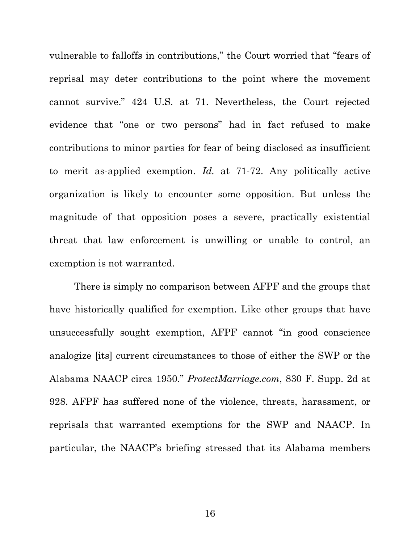vulnerable to falloffs in contributions," the Court worried that "fears of reprisal may deter contributions to the point where the movement cannot survive." 424 U.S. at 71. Nevertheless, the Court rejected evidence that "one or two persons" had in fact refused to make contributions to minor parties for fear of being disclosed as insufficient to merit as-applied exemption. *Id.* at 71-72. Any politically active organization is likely to encounter some opposition. But unless the magnitude of that opposition poses a severe, practically existential threat that law enforcement is unwilling or unable to control, an exemption is not warranted.

There is simply no comparison between AFPF and the groups that have historically qualified for exemption. Like other groups that have unsuccessfully sought exemption, AFPF cannot "in good conscience analogize [its] current circumstances to those of either the SWP or the Alabama NAACP circa 1950." *ProtectMarriage.com*, 830 F. Supp. 2d at 928. AFPF has suffered none of the violence, threats, harassment, or reprisals that warranted exemptions for the SWP and NAACP. In particular, the NAACP's briefing stressed that its Alabama members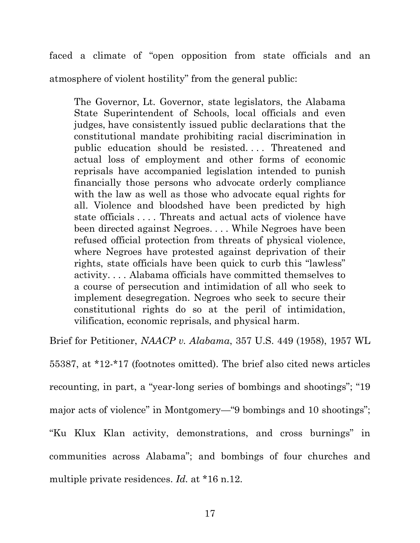faced a climate of "open opposition from state officials and an atmosphere of violent hostility" from the general public:

The Governor, Lt. Governor, state legislators, the Alabama State Superintendent of Schools, local officials and even judges, have consistently issued public declarations that the constitutional mandate prohibiting racial discrimination in public education should be resisted.... Threatened and actual loss of employment and other forms of economic reprisals have accompanied legislation intended to punish financially those persons who advocate orderly compliance with the law as well as those who advocate equal rights for all. Violence and bloodshed have been predicted by high state officials . . . . Threats and actual acts of violence have been directed against Negroes. . . . While Negroes have been refused official protection from threats of physical violence, where Negroes have protested against deprivation of their rights, state officials have been quick to curb this "lawless" activity. . . . Alabama officials have committed themselves to a course of persecution and intimidation of all who seek to implement desegregation. Negroes who seek to secure their constitutional rights do so at the peril of intimidation, vilification, economic reprisals, and physical harm.

Brief for Petitioner, *NAACP v. Alabama*, 357 U.S. 449 (1958), 1957 WL

55387, at \*12-\*17 (footnotes omitted). The brief also cited news articles recounting, in part, a "year-long series of bombings and shootings"; "19 major acts of violence" in Montgomery—"9 bombings and 10 shootings"; "Ku Klux Klan activity, demonstrations, and cross burnings" in communities across Alabama"; and bombings of four churches and multiple private residences. *Id.* at \*16 n.12.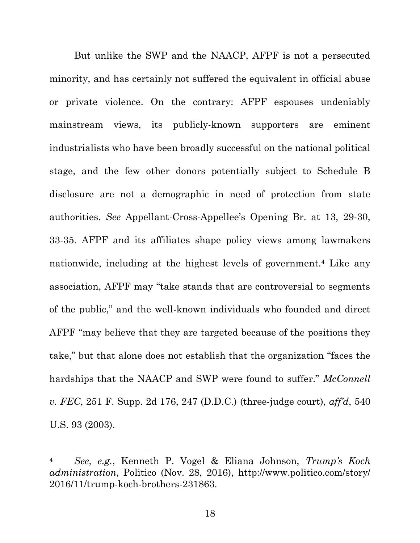But unlike the SWP and the NAACP, AFPF is not a persecuted minority, and has certainly not suffered the equivalent in official abuse or private violence. On the contrary: AFPF espouses undeniably mainstream views, its publicly-known supporters are eminent industrialists who have been broadly successful on the national political stage, and the few other donors potentially subject to Schedule B disclosure are not a demographic in need of protection from state authorities. *See* Appellant-Cross-Appellee's Opening Br. at 13, 29-30, 33-35. AFPF and its affiliates shape policy views among lawmakers nationwide, including at the highest levels of government.<sup>4</sup> Like any association, AFPF may "take stands that are controversial to segments of the public," and the well-known individuals who founded and direct AFPF "may believe that they are targeted because of the positions they take," but that alone does not establish that the organization "faces the hardships that the NAACP and SWP were found to suffer." *McConnell v. FEC*, 251 F. Supp. 2d 176, 247 (D.D.C.) (three-judge court), *aff'd*, 540 U.S. 93 (2003).

<sup>4</sup> *See, e.g.*, Kenneth P. Vogel & Eliana Johnson, *Trump's Koch administration*, Politico (Nov. 28, 2016), http://www.politico.com/story/ 2016/11/trump-koch-brothers-231863.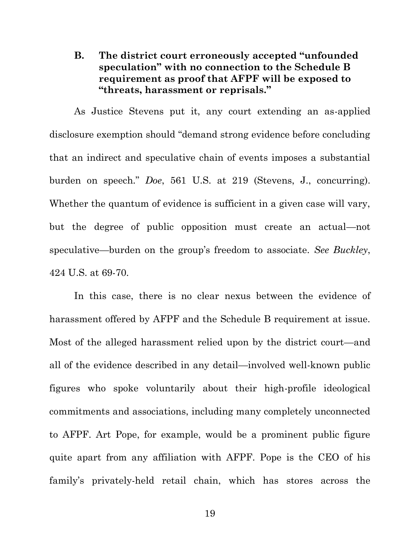# **B. The district court erroneously accepted "unfounded speculation" with no connection to the Schedule B requirement as proof that AFPF will be exposed to "threats, harassment or reprisals."**

As Justice Stevens put it, any court extending an as-applied disclosure exemption should "demand strong evidence before concluding that an indirect and speculative chain of events imposes a substantial burden on speech." *Doe*, 561 U.S. at 219 (Stevens, J., concurring). Whether the quantum of evidence is sufficient in a given case will vary, but the degree of public opposition must create an actual—not speculative—burden on the group's freedom to associate. *See Buckley*, 424 U.S. at 69-70.

In this case, there is no clear nexus between the evidence of harassment offered by AFPF and the Schedule B requirement at issue. Most of the alleged harassment relied upon by the district court—and all of the evidence described in any detail—involved well-known public figures who spoke voluntarily about their high-profile ideological commitments and associations, including many completely unconnected to AFPF. Art Pope, for example, would be a prominent public figure quite apart from any affiliation with AFPF. Pope is the CEO of his family's privately-held retail chain, which has stores across the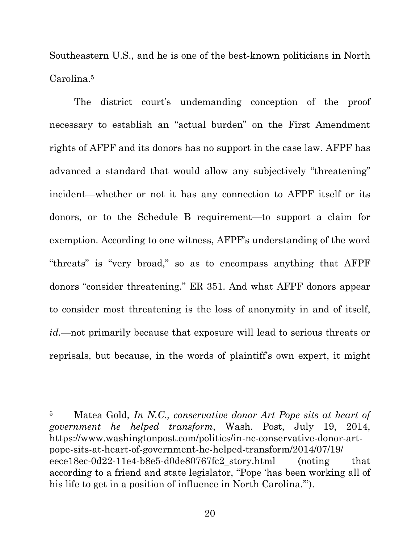<span id="page-27-0"></span>Southeastern U.S., and he is one of the best-known politicians in North Carolina.<sup>5</sup>

The district court's undemanding conception of the proof necessary to establish an "actual burden" on the First Amendment rights of AFPF and its donors has no support in the case law. AFPF has advanced a standard that would allow any subjectively "threatening" incident—whether or not it has any connection to AFPF itself or its donors, or to the Schedule B requirement—to support a claim for exemption. According to one witness, AFPF's understanding of the word "threats" is "very broad," so as to encompass anything that AFPF donors "consider threatening." ER 351. And what AFPF donors appear to consider most threatening is the loss of anonymity in and of itself, *id.*—not primarily because that exposure will lead to serious threats or reprisals, but because, in the words of plaintiff's own expert, it might

<sup>5</sup> Matea Gold, *In N.C., conservative donor Art Pope sits at heart of government he helped transform*, Wash. Post, July 19, 2014, https://www.washingtonpost.com/politics/in-nc-conservative-donor-artpope-sits-at-heart-of-government-he-helped-transform/2014/07/19/ eece18ec-0d22-11e4-b8e5-d0de80767fc2\_story.html (noting that according to a friend and state legislator, "Pope 'has been working all of his life to get in a position of influence in North Carolina.'").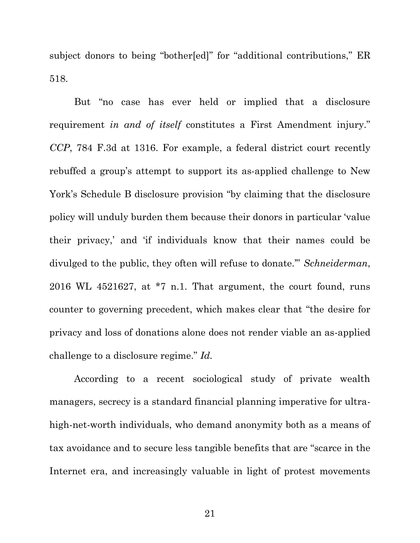subject donors to being "bother[ed]" for "additional contributions," ER 518.

But "no case has ever held or implied that a disclosure requirement *in and of itself* constitutes a First Amendment injury." *CCP*, 784 F.3d at 1316. For example, a federal district court recently rebuffed a group's attempt to support its as-applied challenge to New York's Schedule B disclosure provision "by claiming that the disclosure policy will unduly burden them because their donors in particular 'value their privacy,' and 'if individuals know that their names could be divulged to the public, they often will refuse to donate.'" *Schneiderman*, 2016 WL 4521627, at \*7 n.1. That argument, the court found, runs counter to governing precedent, which makes clear that "the desire for privacy and loss of donations alone does not render viable an as-applied challenge to a disclosure regime." *Id.*

According to a recent sociological study of private wealth managers, secrecy is a standard financial planning imperative for ultrahigh-net-worth individuals, who demand anonymity both as a means of tax avoidance and to secure less tangible benefits that are "scarce in the Internet era, and increasingly valuable in light of protest movements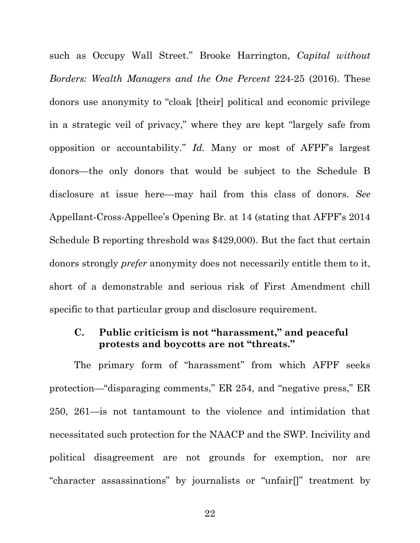such as Occupy Wall Street." Brooke Harrington, *Capital without Borders: Wealth Managers and the One Percent* 224-25 (2016). These donors use anonymity to "cloak [their] political and economic privilege in a strategic veil of privacy," where they are kept "largely safe from opposition or accountability." *Id.* Many or most of AFPF's largest donors—the only donors that would be subject to the Schedule B disclosure at issue here—may hail from this class of donors. *See*  Appellant-Cross-Appellee's Opening Br. at 14 (stating that AFPF's 2014 Schedule B reporting threshold was \$429,000). But the fact that certain donors strongly *prefer* anonymity does not necessarily entitle them to it, short of a demonstrable and serious risk of First Amendment chill specific to that particular group and disclosure requirement.

### **C. Public criticism is not "harassment," and peaceful protests and boycotts are not "threats."**

The primary form of "harassment" from which AFPF seeks protection—"disparaging comments," ER 254, and "negative press," ER 250, 261—is not tantamount to the violence and intimidation that necessitated such protection for the NAACP and the SWP. Incivility and political disagreement are not grounds for exemption, nor are "character assassinations" by journalists or "unfair[]" treatment by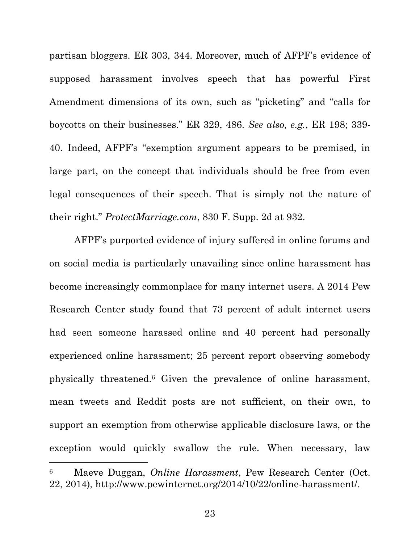partisan bloggers. ER 303, 344. Moreover, much of AFPF's evidence of supposed harassment involves speech that has powerful First Amendment dimensions of its own, such as "picketing" and "calls for boycotts on their businesses." ER 329, 486. *See also, e.g.*, ER 198; 339- 40. Indeed, AFPF's "exemption argument appears to be premised, in large part, on the concept that individuals should be free from even legal consequences of their speech. That is simply not the nature of their right." *ProtectMarriage.com*, 830 F. Supp. 2d at 932.

AFPF's purported evidence of injury suffered in online forums and on social media is particularly unavailing since online harassment has become increasingly commonplace for many internet users. A 2014 Pew Research Center study found that 73 percent of adult internet users had seen someone harassed online and 40 percent had personally experienced online harassment; 25 percent report observing somebody physically threatened.<sup>6</sup> Given the prevalence of online harassment, mean tweets and Reddit posts are not sufficient, on their own, to support an exemption from otherwise applicable disclosure laws, or the exception would quickly swallow the rule. When necessary, law

<sup>6</sup> Maeve Duggan, *Online Harassment*, Pew Research Center (Oct. 22, 2014), [http://www.pewinternet.org/2014/10/22/online-harassment/.](http://www.pewinternet.org/‌2014/‌10/‌22/‌online-harassment/)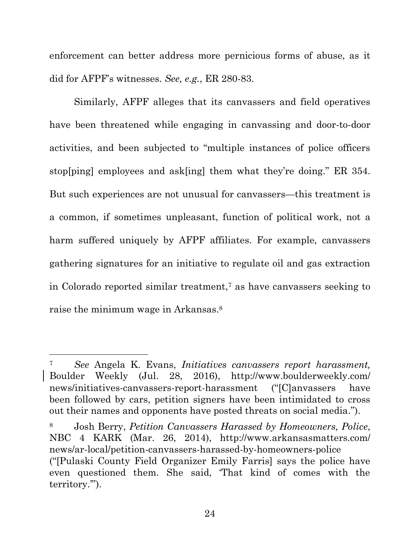enforcement can better address more pernicious forms of abuse, as it did for AFPF's witnesses. *See, e.g.*, ER 280-83.

Similarly, AFPF alleges that its canvassers and field operatives have been threatened while engaging in canvassing and door-to-door activities, and been subjected to "multiple instances of police officers stop[ping] employees and ask[ing] them what they're doing." ER 354. But such experiences are not unusual for canvassers—this treatment is a common, if sometimes unpleasant, function of political work, not a harm suffered uniquely by AFPF affiliates. For example, canvassers gathering signatures for an initiative to regulate oil and gas extraction in Colorado reported similar treatment,<sup> $7$ </sup> as have canvassers seeking to raise the minimum wage in Arkansas. 8

<sup>7</sup> *See* Angela K. Evans, *Initiatives canvassers report harassment,* Boulder Weekly (Jul. 28, 2016), http://www.boulderweekly.com/ news/initiatives-canvassers-report-harassment ("[C]anvassers have been followed by cars, petition signers have been intimidated to cross out their names and opponents have posted threats on social media.").

<sup>8</sup> Josh Berry, *Petition Canvassers Harassed by Homeowners, Police*, NBC 4 KARK (Mar. 26, 2014), http://www.arkansasmatters.com/ news/ar-local/petition-canvassers-harassed-by-homeowners-police ("[Pulaski County Field Organizer Emily Farris] says the police have even questioned them. She said, 'That kind of comes with the territory.'").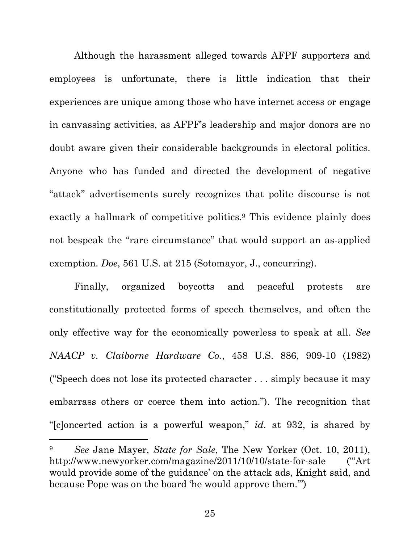Although the harassment alleged towards AFPF supporters and employees is unfortunate, there is little indication that their experiences are unique among those who have internet access or engage in canvassing activities, as AFPF's leadership and major donors are no doubt aware given their considerable backgrounds in electoral politics. Anyone who has funded and directed the development of negative "attack" advertisements surely recognizes that polite discourse is not exactly a hallmark of competitive politics. <sup>9</sup> This evidence plainly does not bespeak the "rare circumstance" that would support an as-applied exemption. *Doe*, 561 U.S. at 215 (Sotomayor, J., concurring).

Finally, organized boycotts and peaceful protests are constitutionally protected forms of speech themselves, and often the only effective way for the economically powerless to speak at all. *See NAACP v. Claiborne Hardware Co.*, 458 U.S. 886, 909-10 (1982) ("Speech does not lose its protected character . . . simply because it may embarrass others or coerce them into action."). The recognition that "[c]oncerted action is a powerful weapon," *id.* at 932, is shared by

<sup>9</sup> *See* Jane Mayer, *State for Sale*, The New Yorker (Oct. 10, 2011), http://www.newyorker.com/magazine/2011/10/10/state-for-sale ("Art" would provide some of the guidance' on the attack ads, Knight said, and because Pope was on the board 'he would approve them.'")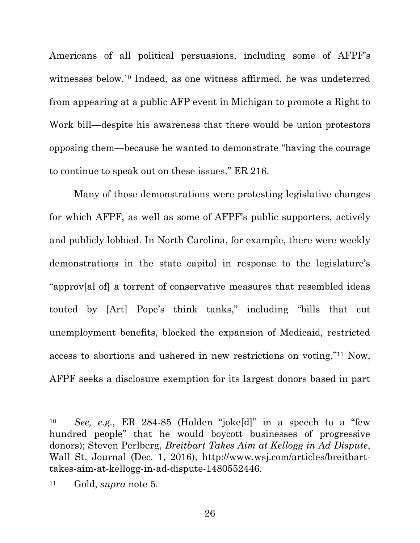Americans of all political persuasions, including some of AFPF's witnesses below. <sup>10</sup> Indeed, as one witness affirmed, he was undeterred from appearing at a public AFP event in Michigan to promote a Right to Work bill—despite his awareness that there would be union protestors opposing them—because he wanted to demonstrate "having the courage to continue to speak out on these issues." ER 216.

Many of those demonstrations were protesting legislative changes for which AFPF, as well as some of AFPF's public supporters, actively and publicly lobbied. In North Carolina, for example, there were weekly demonstrations in the state capitol in response to the legislature's "approv[al of] a torrent of conservative measures that resembled ideas touted by [Art] Pope's think tanks," including "bills that cut unemployment benefits, blocked the expansion of Medicaid, restricted access to abortions and ushered in new restrictions on voting." <sup>11</sup> Now, AFPF seeks a disclosure exemption for its largest donors based in part

<sup>10</sup> *See, e.g.*, ER 284-85 (Holden "joke[d]" in a speech to a "few hundred people" that he would boycott businesses of progressive donors); Steven Perlberg, *Breitbart Takes Aim at Kellogg in Ad Dispute*, Wall St. Journal (Dec. 1, 2016), http://www.wsj.com/articles/breitbarttakes-aim-at-kellogg-in-ad-dispute-1480552446.

<sup>11</sup> Gold, *supra* note [5.](#page-27-0)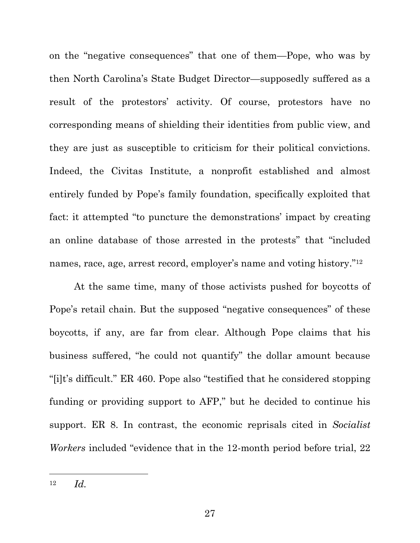on the "negative consequences" that one of them—Pope, who was by then North Carolina's State Budget Director—supposedly suffered as a result of the protestors' activity. Of course, protestors have no corresponding means of shielding their identities from public view, and they are just as susceptible to criticism for their political convictions. Indeed, the Civitas Institute, a nonprofit established and almost entirely funded by Pope's family foundation, specifically exploited that fact: it attempted "to puncture the demonstrations' impact by creating an online database of those arrested in the protests" that "included names, race, age, arrest record, employer's name and voting history."<sup>12</sup>

At the same time, many of those activists pushed for boycotts of Pope's retail chain. But the supposed "negative consequences" of these boycotts, if any, are far from clear. Although Pope claims that his business suffered, "he could not quantify" the dollar amount because "[i]t's difficult." ER 460. Pope also "testified that he considered stopping funding or providing support to AFP," but he decided to continue his support. ER 8. In contrast, the economic reprisals cited in *Socialist Workers* included "evidence that in the 12-month period before trial, 22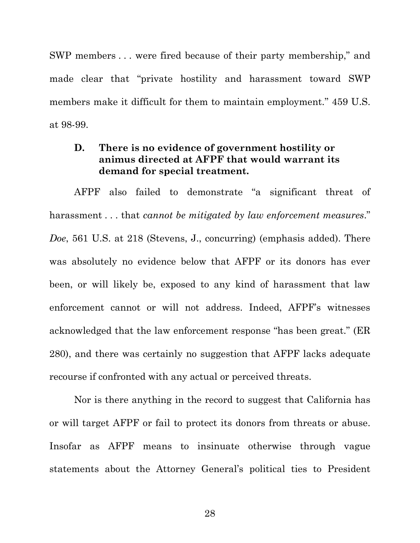SWP members . . . were fired because of their party membership," and made clear that "private hostility and harassment toward SWP members make it difficult for them to maintain employment." 459 U.S. at 98-99.

# **D. There is no evidence of government hostility or animus directed at AFPF that would warrant its demand for special treatment.**

AFPF also failed to demonstrate "a significant threat of harassment . . . that *cannot be mitigated by law enforcement measures*." *Doe*, 561 U.S. at 218 (Stevens, J., concurring) (emphasis added). There was absolutely no evidence below that AFPF or its donors has ever been, or will likely be, exposed to any kind of harassment that law enforcement cannot or will not address. Indeed, AFPF's witnesses acknowledged that the law enforcement response "has been great." (ER 280), and there was certainly no suggestion that AFPF lacks adequate recourse if confronted with any actual or perceived threats.

Nor is there anything in the record to suggest that California has or will target AFPF or fail to protect its donors from threats or abuse. Insofar as AFPF means to insinuate otherwise through vague statements about the Attorney General's political ties to President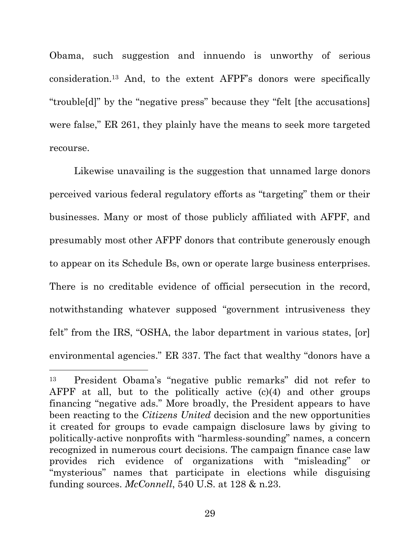Obama, such suggestion and innuendo is unworthy of serious consideration.<sup>13</sup> And, to the extent AFPF's donors were specifically "trouble[d]" by the "negative press" because they "felt [the accusations] were false," ER 261, they plainly have the means to seek more targeted recourse.

Likewise unavailing is the suggestion that unnamed large donors perceived various federal regulatory efforts as "targeting" them or their businesses. Many or most of those publicly affiliated with AFPF, and presumably most other AFPF donors that contribute generously enough to appear on its Schedule Bs, own or operate large business enterprises. There is no creditable evidence of official persecution in the record, notwithstanding whatever supposed "government intrusiveness they felt" from the IRS, "OSHA, the labor department in various states, [or] environmental agencies." ER 337. The fact that wealthy "donors have a

<sup>13</sup> President Obama's "negative public remarks" did not refer to AFPF at all, but to the politically active (c)(4) and other groups financing "negative ads." More broadly, the President appears to have been reacting to the *Citizens United* decision and the new opportunities it created for groups to evade campaign disclosure laws by giving to politically-active nonprofits with "harmless-sounding" names, a concern recognized in numerous court decisions. The campaign finance case law provides rich evidence of organizations with "misleading" or "mysterious" names that participate in elections while disguising funding sources. *McConnell*, 540 U.S. at 128 & n.23.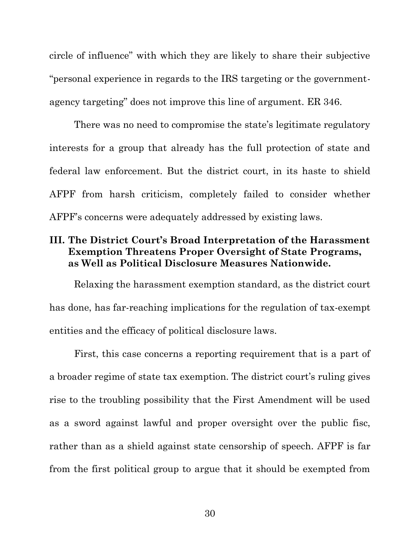circle of influence" with which they are likely to share their subjective "personal experience in regards to the IRS targeting or the governmentagency targeting" does not improve this line of argument. ER 346.

There was no need to compromise the state's legitimate regulatory interests for a group that already has the full protection of state and federal law enforcement. But the district court, in its haste to shield AFPF from harsh criticism, completely failed to consider whether AFPF's concerns were adequately addressed by existing laws.

# **III. The District Court's Broad Interpretation of the Harassment Exemption Threatens Proper Oversight of State Programs, as Well as Political Disclosure Measures Nationwide.**

Relaxing the harassment exemption standard, as the district court has done, has far-reaching implications for the regulation of tax-exempt entities and the efficacy of political disclosure laws.

First, this case concerns a reporting requirement that is a part of a broader regime of state tax exemption. The district court's ruling gives rise to the troubling possibility that the First Amendment will be used as a sword against lawful and proper oversight over the public fisc, rather than as a shield against state censorship of speech. AFPF is far from the first political group to argue that it should be exempted from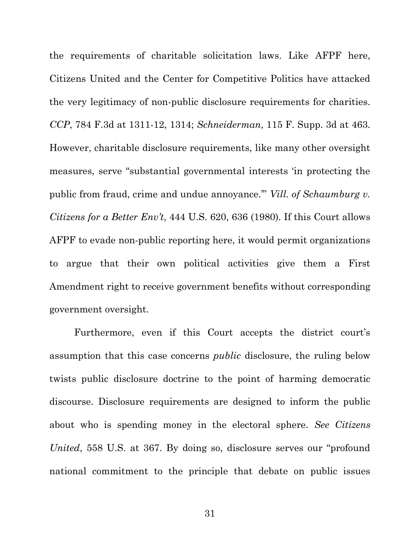the requirements of charitable solicitation laws. Like AFPF here, Citizens United and the Center for Competitive Politics have attacked the very legitimacy of non-public disclosure requirements for charities. *CCP*, 784 F.3d at 1311-12, 1314; *Schneiderman*, 115 F. Supp. 3d at 463. However, charitable disclosure requirements, like many other oversight measures, serve "substantial governmental interests 'in protecting the public from fraud, crime and undue annoyance.'" *Vill. of Schaumburg v. Citizens for a Better Env't*, 444 U.S. 620, 636 (1980). If this Court allows AFPF to evade non-public reporting here, it would permit organizations to argue that their own political activities give them a First Amendment right to receive government benefits without corresponding government oversight.

Furthermore, even if this Court accepts the district court's assumption that this case concerns *public* disclosure, the ruling below twists public disclosure doctrine to the point of harming democratic discourse. Disclosure requirements are designed to inform the public about who is spending money in the electoral sphere. *See Citizens United*, 558 U.S. at 367. By doing so, disclosure serves our "profound national commitment to the principle that debate on public issues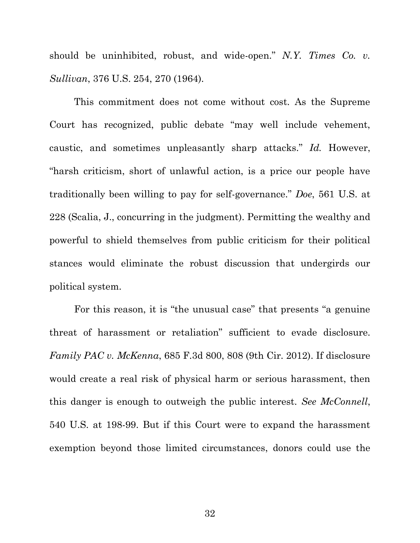should be uninhibited, robust, and wide-open." *N.Y. Times Co. v. Sullivan*, 376 U.S. 254, 270 (1964).

This commitment does not come without cost. As the Supreme Court has recognized, public debate "may well include vehement, caustic, and sometimes unpleasantly sharp attacks." *Id.* However, "harsh criticism, short of unlawful action, is a price our people have traditionally been willing to pay for self-governance." *Doe*, 561 U.S. at 228 (Scalia, J., concurring in the judgment). Permitting the wealthy and powerful to shield themselves from public criticism for their political stances would eliminate the robust discussion that undergirds our political system.

For this reason, it is "the unusual case" that presents "a genuine threat of harassment or retaliation" sufficient to evade disclosure. *Family PAC v. McKenna*, 685 F.3d 800, 808 (9th Cir. 2012). If disclosure would create a real risk of physical harm or serious harassment, then this danger is enough to outweigh the public interest. *See McConnell*, 540 U.S. at 198-99. But if this Court were to expand the harassment exemption beyond those limited circumstances, donors could use the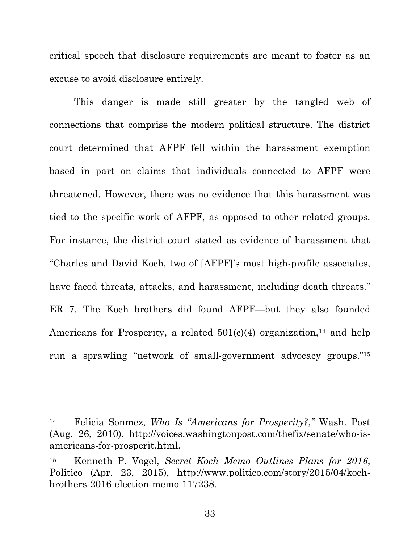critical speech that disclosure requirements are meant to foster as an excuse to avoid disclosure entirely.

This danger is made still greater by the tangled web of connections that comprise the modern political structure. The district court determined that AFPF fell within the harassment exemption based in part on claims that individuals connected to AFPF were threatened. However, there was no evidence that this harassment was tied to the specific work of AFPF, as opposed to other related groups. For instance, the district court stated as evidence of harassment that "Charles and David Koch, two of [AFPF]'s most high-profile associates, have faced threats, attacks, and harassment, including death threats." ER 7. The Koch brothers did found AFPF—but they also founded Americans for Prosperity, a related  $501(c)(4)$  organization,<sup>14</sup> and help run a sprawling "network of small-government advocacy groups."<sup>15</sup>

<sup>14</sup> Felicia Sonmez, *Who Is "Americans for Prosperity?*,*"* Wash. Post (Aug. 26, 2010), http://voices.washingtonpost.com/thefix/senate/who-isamericans-for-prosperit.html.

<sup>15</sup> Kenneth P. Vogel, *Secret Koch Memo Outlines Plans for 2016*, Politico (Apr. 23, 2015), http://www.politico.com/story/2015/04/kochbrothers-2016-election-memo-117238.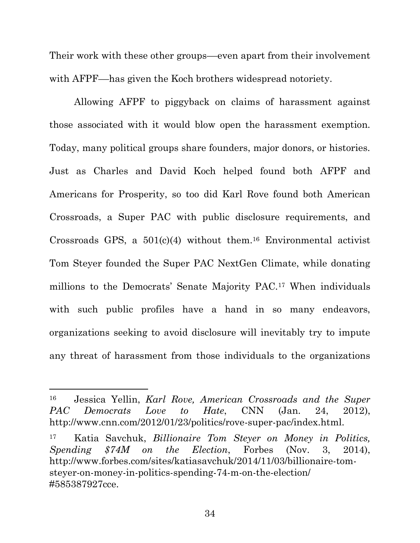Their work with these other groups––even apart from their involvement with AFPF—has given the Koch brothers widespread notoriety.

Allowing AFPF to piggyback on claims of harassment against those associated with it would blow open the harassment exemption. Today, many political groups share founders, major donors, or histories. Just as Charles and David Koch helped found both AFPF and Americans for Prosperity, so too did Karl Rove found both American Crossroads, a Super PAC with public disclosure requirements, and Crossroads GPS, a  $501(c)(4)$  without them.<sup>16</sup> Environmental activist Tom Steyer founded the Super PAC NextGen Climate, while donating millions to the Democrats' Senate Majority PAC.<sup>17</sup> When individuals with such public profiles have a hand in so many endeavors, organizations seeking to avoid disclosure will inevitably try to impute any threat of harassment from those individuals to the organizations

 $\overline{a}$ 

<sup>16</sup> Jessica Yellin, *Karl Rove, American Crossroads and the Super PAC Democrats Love to Hate*, CNN (Jan. 24, 2012), http://www.cnn.com/2012/01/23/politics/rove-super-pac/index.html.

<sup>17</sup> Katia Savchuk, *Billionaire Tom Steyer on Money in Politics, Spending \$74M on the Election*, Forbes (Nov. 3, 2014), http://www.forbes.com/sites/katiasavchuk/2014/11/03/billionaire-tomsteyer-on-money-in-politics-spending-74-m-on-the-election/ #585387927cce.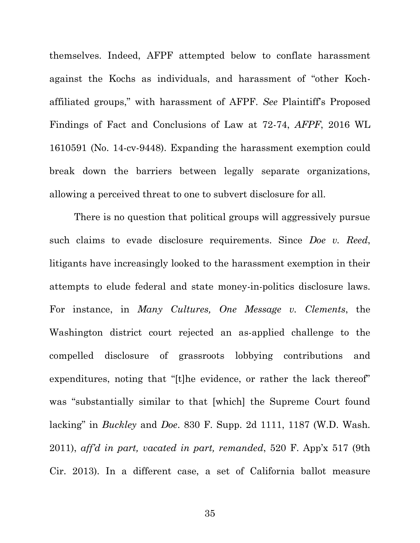themselves. Indeed, AFPF attempted below to conflate harassment against the Kochs as individuals, and harassment of "other Kochaffiliated groups," with harassment of AFPF. *See* Plaintiff's Proposed Findings of Fact and Conclusions of Law at 72-74, *AFPF*, 2016 WL 1610591 (No. 14-cv-9448). Expanding the harassment exemption could break down the barriers between legally separate organizations, allowing a perceived threat to one to subvert disclosure for all.

There is no question that political groups will aggressively pursue such claims to evade disclosure requirements. Since *Doe v. Reed*, litigants have increasingly looked to the harassment exemption in their attempts to elude federal and state money-in-politics disclosure laws. For instance, in *Many Cultures, One Message v. Clements*, the Washington district court rejected an as-applied challenge to the compelled disclosure of grassroots lobbying contributions and expenditures, noting that "[t]he evidence, or rather the lack thereof" was "substantially similar to that [which] the Supreme Court found lacking" in *Buckley* and *Doe*. 830 F. Supp. 2d 1111, 1187 (W.D. Wash. 2011), *aff'd in part, vacated in part, remanded*, 520 F. App'x 517 (9th Cir. 2013). In a different case, a set of California ballot measure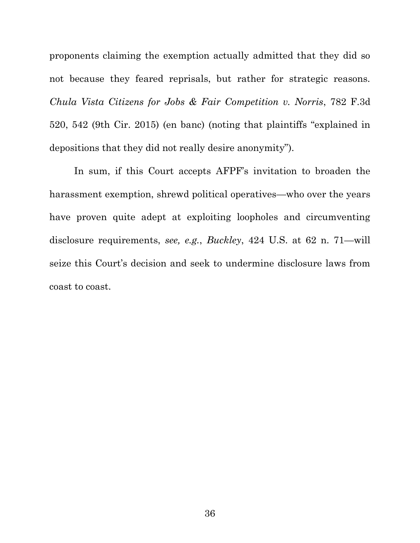proponents claiming the exemption actually admitted that they did so not because they feared reprisals, but rather for strategic reasons. *Chula Vista Citizens for Jobs & Fair Competition v. Norris*, 782 F.3d 520, 542 (9th Cir. 2015) (en banc) (noting that plaintiffs "explained in depositions that they did not really desire anonymity").

In sum, if this Court accepts AFPF's invitation to broaden the harassment exemption, shrewd political operatives—who over the years have proven quite adept at exploiting loopholes and circumventing disclosure requirements, *see, e.g.*, *Buckley*, 424 U.S. at 62 n. 71—will seize this Court's decision and seek to undermine disclosure laws from coast to coast.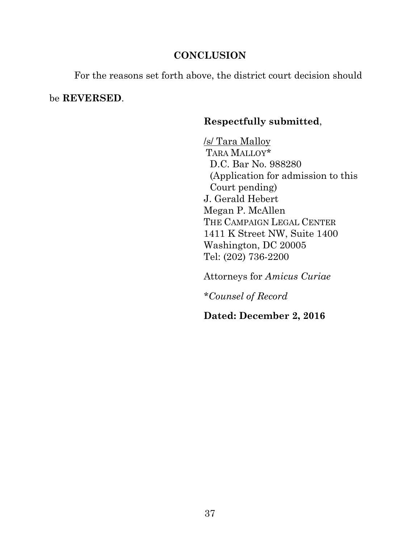# **CONCLUSION**

For the reasons set forth above, the district court decision should

be **REVERSED**.

# **Respectfully submitted**,

/s/ Tara Malloy TARA MALLOY\* D.C. Bar No. 988280 (Application for admission to this Court pending) J. Gerald Hebert Megan P. McAllen THE CAMPAIGN LEGAL CENTER 1411 K Street NW, Suite 1400 Washington, DC 20005 Tel: (202) 736-2200

Attorneys for *Amicus Curiae*

*\*Counsel of Record*

**Dated: December 2, 2016**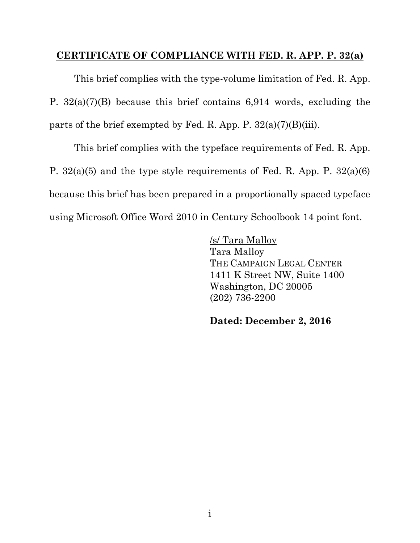# **CERTIFICATE OF COMPLIANCE WITH FED. R. APP. P. 32(a)**

This brief complies with the type-volume limitation of Fed. R. App. P. 32(a)(7)(B) because this brief contains 6,914 words, excluding the parts of the brief exempted by Fed. R. App. P.  $32(a)(7)(B)(iii)$ .

This brief complies with the typeface requirements of Fed. R. App. P. 32(a)(5) and the type style requirements of Fed. R. App. P. 32(a)(6) because this brief has been prepared in a proportionally spaced typeface using Microsoft Office Word 2010 in Century Schoolbook 14 point font.

> /s/ Tara Malloy Tara Malloy THE CAMPAIGN LEGAL CENTER 1411 K Street NW, Suite 1400 Washington, DC 20005 (202) 736-2200

**Dated: December 2, 2016**